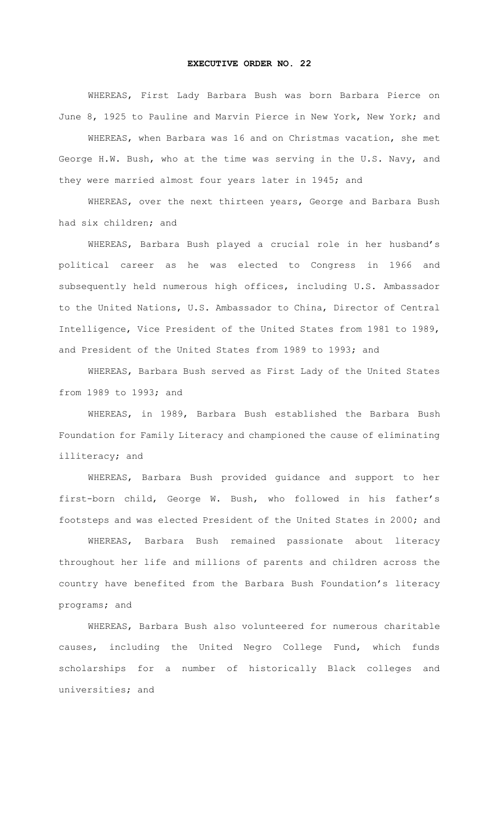## **EXECUTIVE ORDER NO. 22**

WHEREAS, First Lady Barbara Bush was born Barbara Pierce on June 8, 1925 to Pauline and Marvin Pierce in New York, New York; and

WHEREAS, when Barbara was 16 and on Christmas vacation, she met George H.W. Bush, who at the time was serving in the U.S. Navy, and they were married almost four years later in 1945; and

WHEREAS, over the next thirteen years, George and Barbara Bush had six children; and

WHEREAS, Barbara Bush played a crucial role in her husband's political career as he was elected to Congress in 1966 and subsequently held numerous high offices, including U.S. Ambassador to the United Nations, U.S. Ambassador to China, Director of Central Intelligence, Vice President of the United States from 1981 to 1989, and President of the United States from 1989 to 1993; and

WHEREAS, Barbara Bush served as First Lady of the United States from 1989 to 1993; and

WHEREAS, in 1989, Barbara Bush established the Barbara Bush Foundation for Family Literacy and championed the cause of eliminating illiteracy; and

WHEREAS, Barbara Bush provided guidance and support to her first-born child, George W. Bush, who followed in his father's footsteps and was elected President of the United States in 2000; and

WHEREAS, Barbara Bush remained passionate about literacy throughout her life and millions of parents and children across the country have benefited from the Barbara Bush Foundation's literacy programs; and

WHEREAS, Barbara Bush also volunteered for numerous charitable causes, including the United Negro College Fund, which funds scholarships for a number of historically Black colleges and universities; and